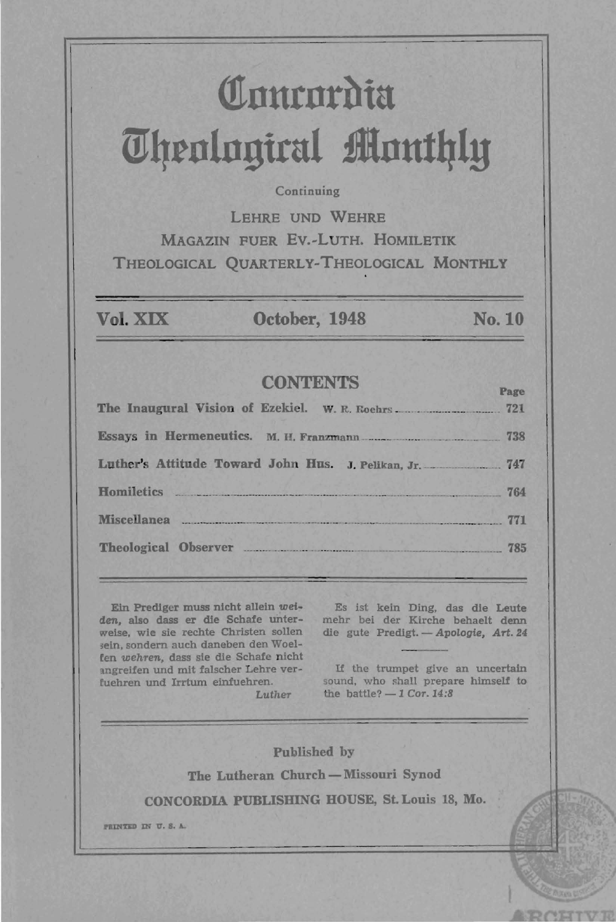# Comrordia *<u>Uhenlogical Monthly</u>*

### **Continuing**

LEHRE UND WEHRE MAGAZIN FUER Ev.-LuTH. HOMILETIK THEOLOGICAL QUARTERLY-THEOLOGICAL MONTHLY

Vol. XIX **October, 1948** No. 10

# **CONTENTS**

| Luther's Attitude Toward John Hus. J. Pelikan, Jr. 747 |  |
|--------------------------------------------------------|--|
| Homiletics 764                                         |  |
| Miscellanea 771                                        |  |
| Theological Observer 785                               |  |

Eln PredIger muss ntcht aUeln *wei*den, also dass er die Schate unter-mehr bel der Kirche behaelt denn weise, wie sie rechte Christen sollen die gute Predigt. - Apologie, Art. 24 sein, sondern auch daneben den Woelfen *wehTen.,* dass sle die Schate nicht lngreifen und mit falscher Lehre verfuehren und Irrtum elnfuehren. Luther

Es 1st keln Ding, das die Leute

lf the trumpet give an uncertain sound, who shall prepare himself to the battle? - 1 *Cor.* 14:8

Published by The Lutheran Church - Missouri Synod CONCORDIA PUBLISHING HOUSE, St. Louis 18, Mo. PRINTED IN U.S.A.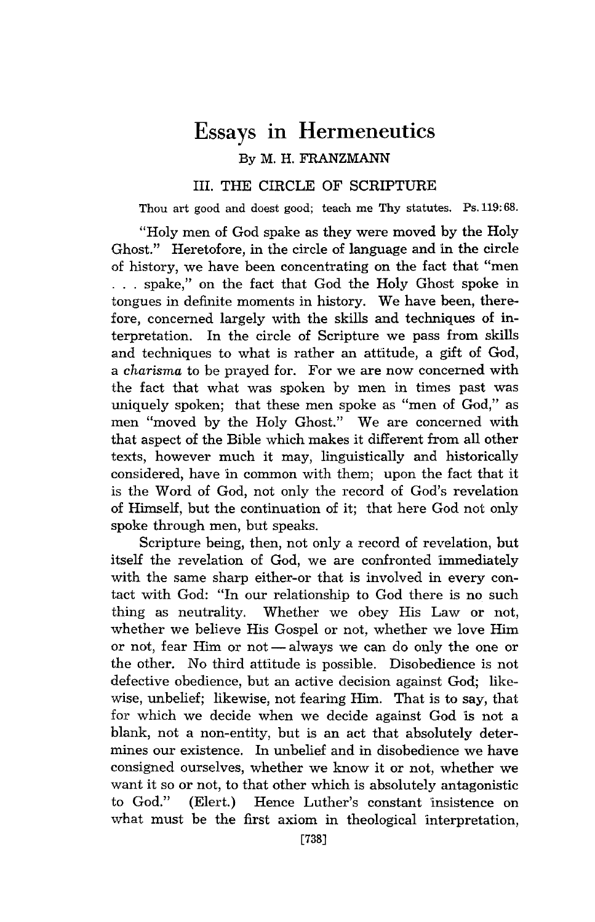# Essays **in** Hermeneutics By M. H. FRANZMANN

# III. THE CIRCLE OF SCRIPTURE

Thou art good and doest good; teach me Thy statutes. Ps.119: 68.

"Holy men of God spake as they were moved by the Holy Ghost." Heretofore, in the circle of language and in the circle of history, we have been concentrating on the fact that "men . . . spake," on the fact that God the Holy Ghost spoke in tongues in definite moments in history. We have been, therefore, concerned largely with the skills and techniques of interpretation. In the circle of Scripture we pass from skills and techniques to what is rather an attitude, a gift of God, a *charisma* to be prayed for. For we are now concerned with the fact that what was spoken by men in times past was uniquely spoken; that these men spoke as "men of God," as men "moved by the Holy Ghost." We are concerned with that aspect of the Bible which makes it different from all other texts, however much it may, linguistically and historically considered, have in common with them; upon the fact that it is the Word of God, not only the record of God's revelation of Himself, but the continuation of it; that here God not only spoke through men, but speaks.

Scripture being, then, not only a record of revelation, but itself the revelation of God, we are confronted immediately with the same sharp either-or that is involved in every contact with God: "In our relationship to God there is no such thing as neutrality. Whether we obey His Law or not, whether we believe His Gospel or not, whether we love Him or not, fear Him or not - always we can do only the one or the other. No third attitude is possible. Disobedience is not defective obedience, but an active decision against God; likewise, unbelief; likewise, not fearing Him. That is to say, that for which we decide when we decide against God is not a blank, not a non-entity, but is an act that absolutely determines our existence. In unbelief and in disobedience we have consigned ourselves, whether we know it or not, whether we want it so or not, to that other which is absolutely antagonistic to God." (Elert.) Hence Luther's constant insistence on what must be the first axiom in theological interpretation,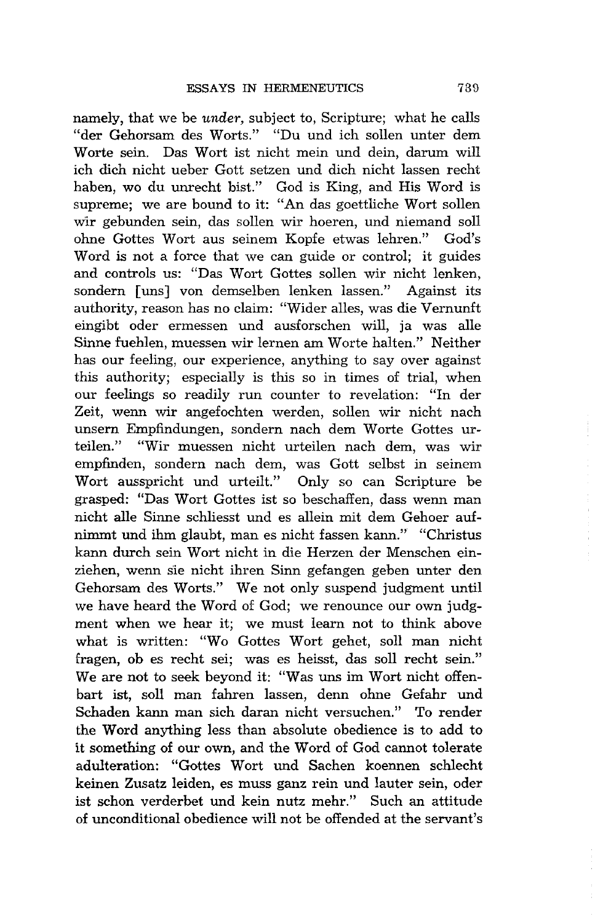namely, that we be *under,* subject to, Scripture; what he calls "der Gehorsam des Worts." "Du und ich sollen unter dem Worte sein. Das Wort ist nicht mein und dein, darum will ich dich nicht ueber Gott setzen und dich nicht lassen recht haben, wo du unrecht bist." God is King, and His Word is supreme; we are bound to it: "An das goettliche Wort sollen wir gebunden sein, das sollen wir hoeren, und niemand soll ohne Gottes Wort aus seinem Kopfe etwas lehren." God's Word is not a force that we can guide or control; it guides and controls us: "Das Wort Gottes sollen wir nicht lenken, sondern Juns] von demselben lenken lassen." Against its authority, reason has no claim: "Wider alles, was die Vernunft eingibt oder ermessen und ausforschen will, ja was alle Sinne fuehlen, muessen wir lernen am Worte halten." Neither has our feeling, our experience, anything to say over against this authority; especially is this so in times of trial, when our feelings so readily run counter to revelation: "In der Zeit, wenn wir angefochten werden, sollen wir nicht nach unsern Empfindungen, sondern nach dem Worte Gottes urteilen." "Wir muessen nicht urteilen nach dem, was wir empfinden, sondern nach dem, was Gott selbst in seinem Wort ausspricht und urteilt." Only so can Scripture be grasped: "Das Wort Gottes ist so beschaffen, dass wenn man nicht alle Sinne schliesst und es allein mit dem Gehoer aufnimmt und ihm glaubt, man es nicht fassen kann." "Christus kann durch sein Wort nicht in die Herzen der Menschen einziehen, wenn sie nicht ihren Sinn gefangen geben unter den Gehorsam des Worts." We not only suspend judgment until we have heard the Word of God; we renounce our own judgment when we hear it; we must learn not to think above what is written: "Wo Gottes Wort gehet, soll man nicht fragen, ob es recht sei; was es heisst, das soll recht sein." We are not to seek beyond it: "Was uns im Wort nicht offenhart ist, solI man fahren lassen, denn ohne Gefahr und Schaden kann man sich daran nicht versuchen." To render the Word anything less than absolute obedience is to add to it something of our own, and the Word of God cannot tolerate adulteration: "Gottes Wort und Sachen koennen schlecht keinen Zusatz leiden, es muss ganz rein und lauter sein, oder ist schon verderbet und kein nutz mehr." Such an attitude of unconditional obedience will not be offended at the servant's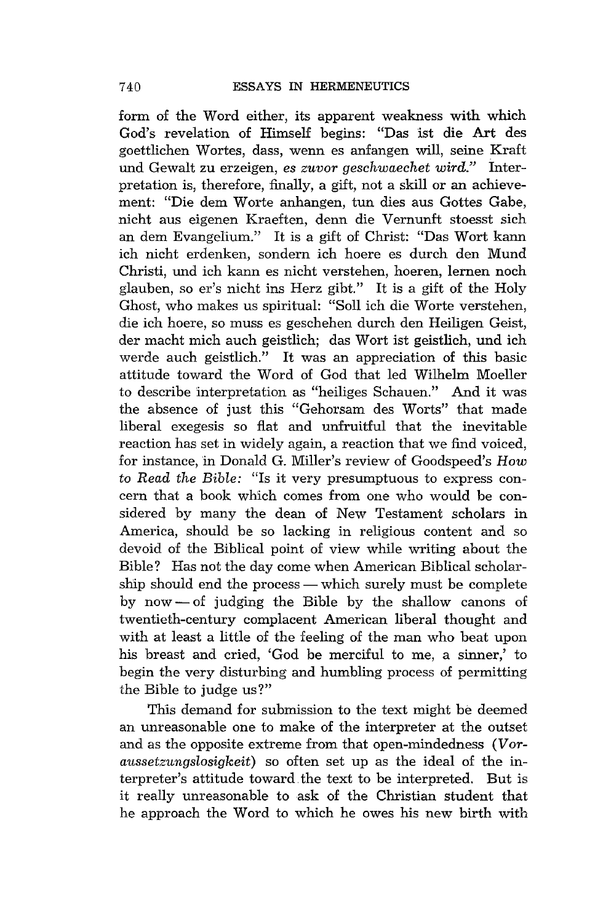form of the Word either, its apparent weakness with which God's revelation of Himself begins: "Das 1st die Art des goettlichen W ortes, dass, wenn es anfangen will, seine Kraft und Gewalt zu erzeigen, *es zuvor geschwaechet wird."* Interpretation is, therefore, finally, a gift, not a skill or an achievement: "Die dem Worte anhangen, tun dies aus Gottes Gabe, nicht aus eigenen Kraeften, denn die Vernunft stoesst sich an dem Evangelium." It is a gift of Christ: "Das Wort kann ich nicht erdenken, sondern ich hoere es durch den Mund Christi, und ich kann es nicht verstehen, hoeren, lernen noch glauben, so er's nicht ins Herz gibt." It is a gift of the Holy Ghost, who makes us spiritual: "Soll ich die Worte verstehen, die ich hoere, so muss es geschehen durch den Heiligen Geist, der macht mich auch geistlich; das Wort ist geistlich, und ich werde auch geistlich." It was an appreciation of this basic attitude toward the Word of God that led Wilhelm Moeller to describe interpretation as "heiliges Schauen." And it was the absence of just this "Gehorsam des Worts" that made liberal exegesis so fiat and unfruitful that the inevitable reaction has set in widely again, a reaction that we find voiced, for instance, in Donald G. Miller's review of Goodspeed's *How*  to *Read the Bible:* "Is it very presumptuous to express concern that a book which comes from one who would be considered by many the dean of New Testament scholars in America, should be so lacking in religious content and so devoid of the Biblical point of view while writing about the Bible? Has not the day come when American Biblical scholarship should end the process — which surely must be complete by now  $-$  of judging the Bible by the shallow canons of twentieth-century complacent American liberal thought and with at least a little of the feeling of the man who beat upon his breast and cried, 'God be merciful to me, a sinner,' to begin the very disturbing and humbling process of permitting the Bible to judge us?"

This demand for submission to the text might be deemed an unreasonable one to make of the interpreter at the outset and as the opposite extreme from that open-mindedness (Vor*aussetzungslosigkeit)* so often set up as the ideal of the interpreter's attitude toward.the text to be interpreted. But is it really unreasonable to ask of the Christian student that he approach the Word to which he owes his new birth with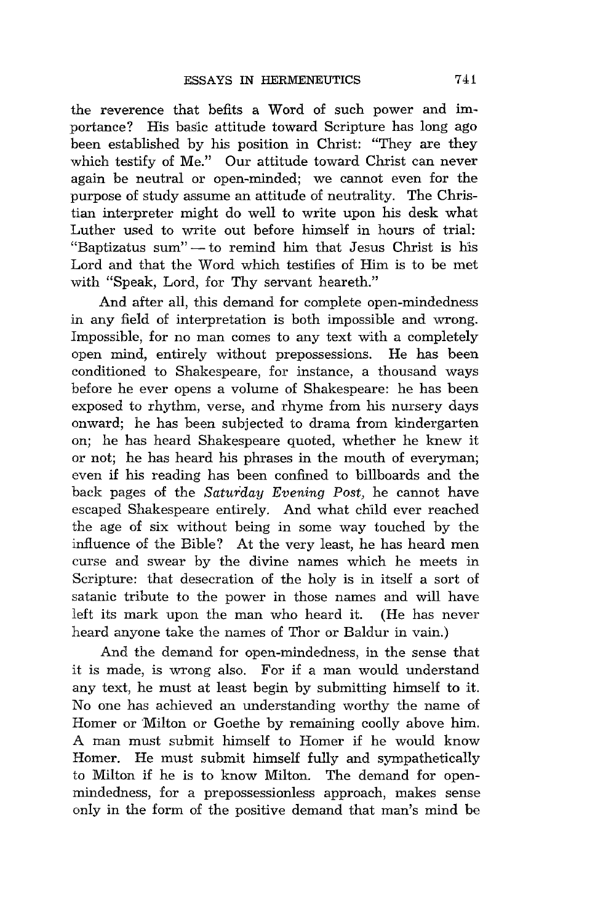the reverence that befits a Word of such power and importance? His basic attitude toward Scripture has long ago been established by his position in Christ: "They are they which testify of Me." Our attitude toward Christ can never again be neutral or open-minded; we cannot even for the purpose of study assume an attitude of neutrality. The Christian interpreter might do well to write upon his desk what Luther used to write out before himself in hours of trial: "Baptizatus sum" - to remind him that Jesus Christ is his Lord and that the Word which testifies of Him is to be met with "Speak, Lord, for Thy servant heareth."

And after all, this demand for complete open-mindedness in any field of interpretation is both impossible and wrong. Impossible, for no man comes to any text with a completely open mind, entirely without prepossessions. He has been conditioned to Shakespeare, for instance, a thousand ways before he ever opens a volume of Shakespeare: he has been exposed to rhythm, verse, and rhyme from his nursery days onward; he has been subjected to drama from kindergarten on; he has heard Shakespeare quoted, whether he knew it or not; he has heard his phrases in the mouth of everyman; even if his reading has been confined to billboards and the back pages of the *Saturday Evening Post,* he cannot have escaped Shakespeare entirely. And what child ever reached the age of six without being in some way touched by the influence of the Bible? At the very least, he has heard men curse and swear by the divine names which he meets in Scripture: that desecration of the holy is in itself a sort of satanic tribute to the power in those names and will have left its mark upon the man who heard it. (He has never heard anyone take the names of Thor or Baldur in vain.)

And the demand for open-mindedness, in the sense that it is made, is wrong also. For if a man would understand any text, he must at least begin by submitting himself to it. No one has achieved an understanding worthy the name of Homer or Milton or Goethe by remaining coolly above him. A man must submit himself to Homer if he would know Homer. He must submit himself fully and sympathetically to Milton if he is to know Milton. The demand for openmindedness, for a prepossessionless approach, makes sense only in the form of the positive demand that man's mind be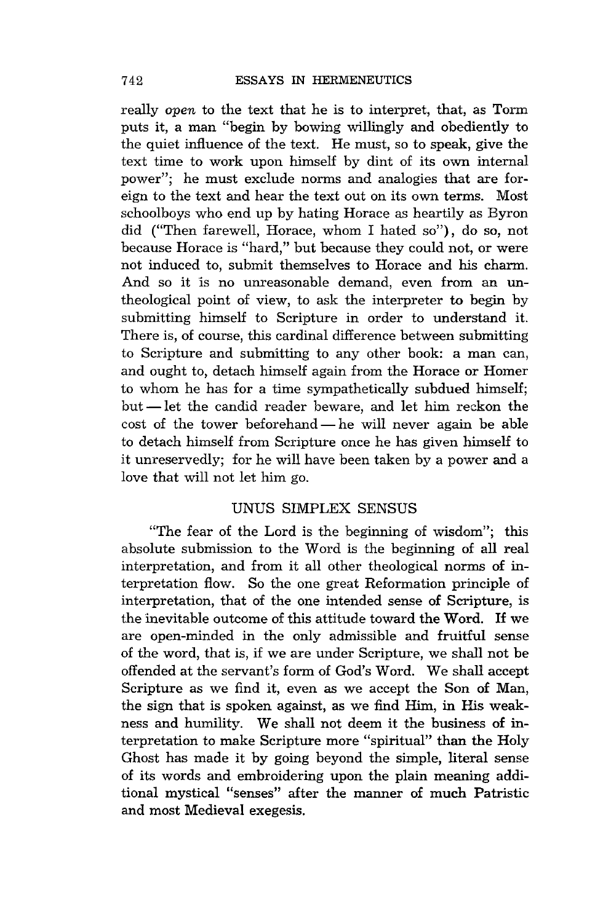really open to the text that he is to interpret, that, as Torm puts it, a man "begin by bowing willingly and obediently to the quiet influence of the text. He must, so to speak, give the text time to work upon himself by dint of its own internal power"; he must exclude norms and analogies that are foreign to the text and hear the text out on its own terms. Most schoolboys who end up by hating Horace as heartily as Byron did ("Then farewell, Horace, whom I hated so"), do so, not because Horace is "hard," but because they could not, or were not induced to, submit themselves to Horace and his charm. And so it is no unreasonable demand, even from an untheological point of view, to ask the interpreter to begin by submitting himself to Scripture in order to understand it. There is, of course, this cardinal difference between submitting to Scripture and submitting to any other book: a man can, and ought to, detach himself again from the Horace or Homer to whom he has for a time sympathetically subdued himself; but -let the candid reader beware, and let him reckon the  $\cot$  of the tower beforehand  $\text{I}$  he will never again be able to detach himself from Scripture once he has given himself to it unreservedly; for he will have been taken by a power and a love that will not let him go.

# UNUS SIMPLEX SENSUS

"The fear of the Lord is the beginning of wisdom"; this absolute submission to the Word is the beginning of all real interpretation, and from it all other theological norms of interpretation flow. So the one great Reformation principle of interpretation, that of the one intended sense of Scripture, is the inevitable outcome of this attitude toward the Word. If we are open-minded in the only admissible and fruitful sense of the word, that is, if we are under Scripture, we shall not be offended at the servant's form of God's Word. We shall accept Scripture as we find it, even as we accept the Son of Man, the sign that is spoken against, as we find Him, in His weakness and humility. We shall not deem it the business of interpretation to make Scripture more "spiritual" than the Holy Ghost has made it by going beyond the simple, literal sense of its words and embroidering upon the plain meaning additional mystical "senses" after the manner of much Patristic and most Medieval exegesis.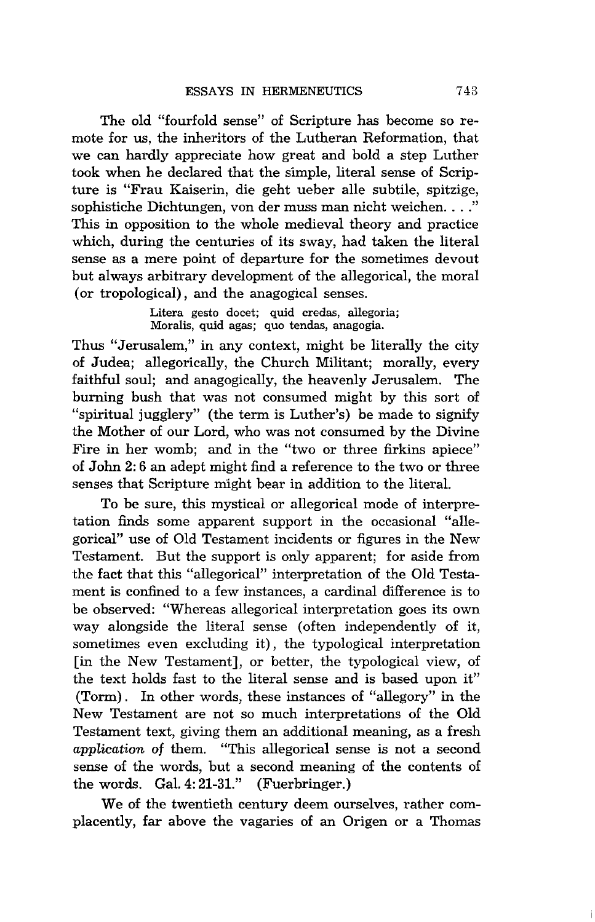The old "fourfold sense" of Scripture has become so remote for us, the inheritors of the Lutheran Reformation, that we can hardly appreciate how great and bold a step Luther took when he declared that the simple, literal sense of Scripture is "Frau Kaiserin, die geht ueber alle subtile, spitzige, sophistiche Dichtungen, von der muss man nicht weichen...." This in opposition to the whole medieval theory and practice which, during the centuries of its sway, had taken the literal sense as a mere point of departure for the sometimes devout but always arbitrary development of the allegorical, the moral (or tropological), and the anagogical senses.

> Litera gesto docet; quid credas, allegoria; Moralis, quid agas; quo tendas, anagogia.

Thus "Jerusalem," in any context, might be literally the city of Judea; allegorically, the Church Militant; morally, every faithful soul; and anagogically, the heavenly Jerusalem. The burning bush that was not consumed might by this sort of "spiritual jugglery" (the term is Luther's) be made to signify the Mother of our Lord, who was not consumed by the Divine Fire in her womb; and in the "two or three firkins apiece" of John 2: 6 an adept might find a reference to the two or three senses that Scripture might bear in addition to the literal.

To be sure, this mystical or allegorical mode of interpretation finds some apparent support in the occasional "allegorical" use of Old Testament incidents or figures in the New Testament. But the support is only apparent; for aside from the fact that this "allegorical" interpretation of the Old Testament is confined to a few instances, a cardinal difference is to be observed: "Whereas allegorical interpretation goes its own way alongside the literal sense (often independently of it, sometimes even excluding it), the typological interpretation [in the New Testament], or better, the typological view, of the text holds fast to the literal sense and is based upon it" (Torm) . In other words, these instances of "allegory" in the New Testament are not so much interpretations of the Old Testament text, giving them an additional meaning, as a fresh *application of* them. "This allegorical sense is not a second sense of the words, but a second meaning of the contents of the words. Gal. 4: 21-31." (Fuerbringer.)

We of the twentieth century deem ourselves, rather complacently, far above the vagaries of an Origen or a Thomas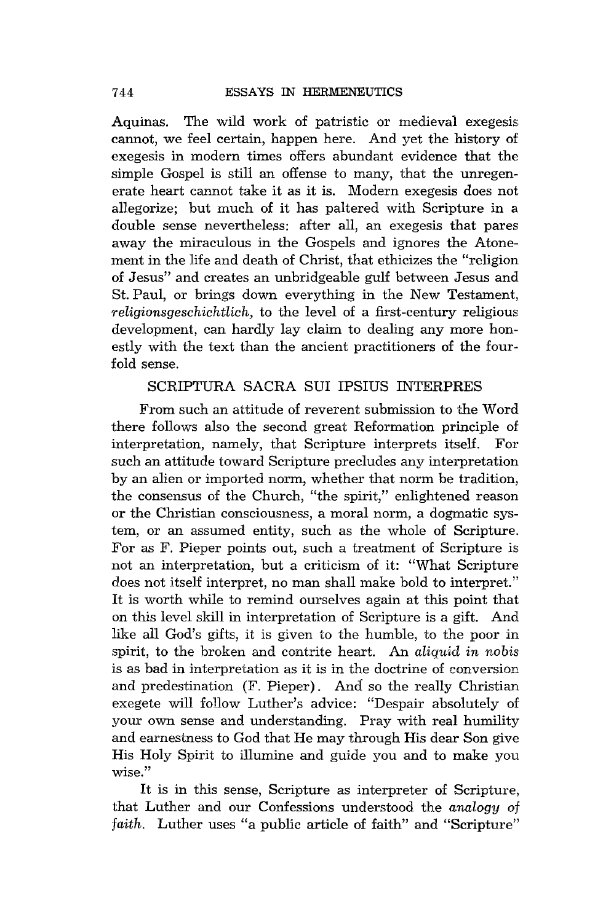Aquinas. The wild work of patristic or medieval exegesis cannot, we feel certain, happen here. And yet the history of exegesis in modern times offers abundant evidence that the simple Gospel is still an offense to many, that the unregenerate heart cannot take it as it is. Modern exegesis does not allegorize; but much of it has paltered with Scripture in a double sense nevertheless: after all, an exegesis that pares away the miraculous in the Gospels and ignores the Atonement in the life and death of Christ, that ethicizes the "religion of Jesus" and creates an unbridgeable gulf between Jesus and St. Paul, or brings down everything in the New Testament, *religionsgeschichtlich,* to the level of a first-century religious development, can hardly lay claim to dealing any more honestly with the text than the ancient practitioners of the fourfold sense.

# SCRIPTURA SACRA SUI IPSIUS INTERPRES

From such an attitude of reverent submission to the Word there follows also the second great Reformation principle of interpretation, namely, that Scripture interprets itself. For such an attitude toward Scripture precludes any interpretation by an alien or imported norm, whether that norm be tradition, the consensus of the Church, "the spirit," enlightened reason or the Christian consciousness, a moral norm, a dogmatic system, or an assumed entity, such as the whole of Scripture. For as F. Pieper points out, such a treatment of Scripture is not an interpretation, but a criticism of it: "What Scripture does not itself interpret, no man shall make bold to interpret." It is worth while to remind ourselves again at this point that on this level skill in interpretation of Scripture is a gift. And like all God's gifts, it is given to the humble, to the poor in spirit, to the broken and contrite heart. An *aliquid in nobis*  is as bad in interpretation as it is in the doctrine of conversion and predestination (F. Pieper). And so the really Christian exegete will follow Luther's advice: "Despair absolutely of your own sense and understanding. Pray with real humility and earnestness to God that He may through His dear Son give His Holy Spirit to illumine and guide you and to make you wise."

It is in this sense, Scripture as interpreter of Scripture, that Luther and our Confessions understood the *analogy* of *faith.* Luther uses "a public article of faith" and "Scripture"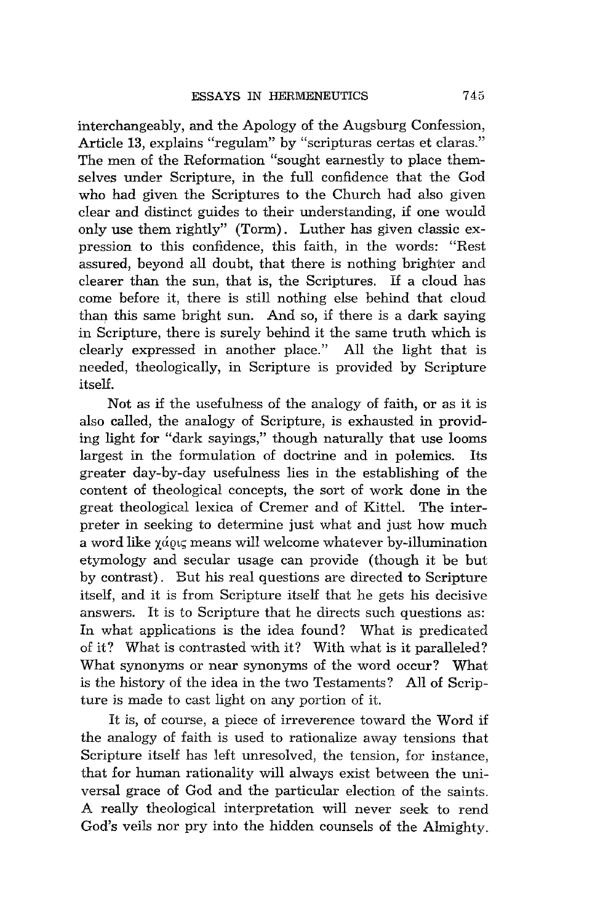interchangeably, and the Apology of the Augsburg Confession, Article 13, explains "regulam" by "scripturas certas et claras." The men of the Reformation "sought earnestly to place themselves under Scripture, in the full confidence that the God who had given the Scriptures to the Church had also given clear and distinct guides to their understanding, if one would only use them rightly" (Torm). Luther has given classic expression to this confidence, this faith, in the words: "Rest assured, beyond all doubt, that there is nothing brighter and clearer than the sun, that is, the Scriptures. If a cloud has come before it, there is still nothing else behind that cloud than this same bright sun. And so, if there is a dark saying in Scripture, there is surely behind it the same truth which is clearly expressed in another place." All the light that is needed, theologically, in Scripture is provided by Scripture itself.

Not as if the usefulness of the analogy of faith, or as it is also called, the analogy of Scripture, is exhausted in providing light for "dark sayings," though naturally that use looms largest in the formulation of doctrine and in polemics. Its greater day-by-day usefulness lies in the establishing of the content of theological concepts, the sort of work done in the great theological lexica of Cremer and of Kittel. The interpreter in seeking to determine just what and just how much a word like  $\chi d\omega\zeta$  means will welcome whatever by-illumination etymology and secular usage can provide (though it be but by contrast). But his real questions are directed to Scripture itself, and it is from Scripture itself that he gets his decisive answers. It is to Scripture that he directs such questions as: In what applications is the idea found? What is predicated of it? What is contrasted with it? With what is it paralleled? What synonyms or near synonyms of the word occur? What is the history of the idea in the two Testaments? All of Scripture is made to cast light on any portion of it.

It is, of course, a piece of irreverence toward the Word if the analogy of faith is used to rationalize away tensions that Scripture itself has left unresolved, the tension, for instance, that for human rationality will always exist between the universal grace of God and the particular election of the saints. A really theological interpretation will never seek to rend God's veils nor pry into the hidden counsels of the Almighty.